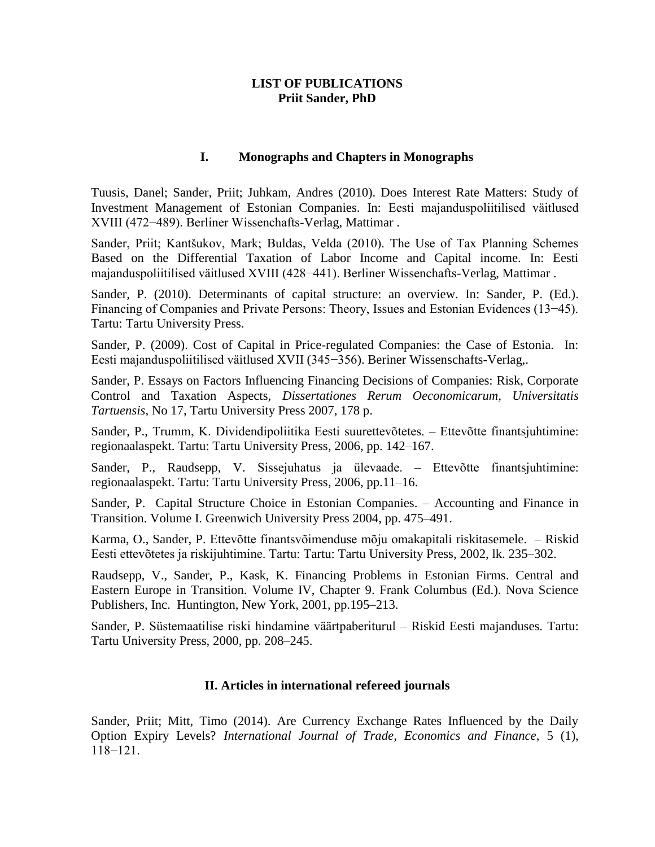# **LIST OF PUBLICATIONS Priit Sander, PhD**

## **I. Monographs and Chapters in Monographs**

Tuusis, Danel; Sander, Priit; Juhkam, Andres (2010). Does Interest Rate Matters: Study of Investment Management of Estonian Companies. In: Eesti majanduspoliitilised väitlused XVIII (472−489). Berliner Wissenchafts-Verlag, Mattimar .

Sander, Priit; Kantšukov, Mark; Buldas, Velda (2010). The Use of Tax Planning Schemes Based on the Differential Taxation of Labor Income and Capital income. In: Eesti majanduspoliitilised väitlused XVIII (428−441). Berliner Wissenchafts-Verlag, Mattimar .

Sander, P. (2010). Determinants of capital structure: an overview. In: Sander, P. (Ed.). Financing of Companies and Private Persons: Theory, Issues and Estonian Evidences (13−45). Tartu: Tartu University Press.

Sander, P. (2009). Cost of Capital in Price-regulated Companies: the Case of Estonia. In: Eesti majanduspoliitilised väitlused XVII (345−356). Beriner Wissenschafts-Verlag,.

Sander, P. Essays on Factors Influencing Financing Decisions of Companies: Risk, Corporate Control and Taxation Aspects, *Dissertationes Rerum Oeconomicarum, Universitatis Tartuensis*, No 17, Tartu University Press 2007, 178 p.

Sander, P., Trumm, K. Dividendipoliitika Eesti suurettevõtetes. – Ettevõtte finantsjuhtimine: regionaalaspekt. Tartu: Tartu University Press, 2006, pp. 142–167.

Sander, P., Raudsepp, V. Sissejuhatus ja ülevaade. – Ettevõtte finantsjuhtimine: regionaalaspekt. Tartu: Tartu University Press, 2006, pp.11–16.

Sander, P. Capital Structure Choice in Estonian Companies. – Accounting and Finance in Transition. Volume I. Greenwich University Press 2004, pp. 475–491.

Karma, O., Sander, P. Ettevõtte finantsvõimenduse mõju omakapitali riskitasemele. – Riskid Eesti ettevõtetes ja riskijuhtimine. Tartu: Tartu: Tartu University Press, 2002, lk. 235–302.

Raudsepp, V., Sander, P., Kask, K. Financing Problems in Estonian Firms. Central and Eastern Europe in Transition. Volume IV, Chapter 9. Frank Columbus (Ed.). Nova Science Publishers, Inc. Huntington, New York, 2001, pp.195–213.

Sander, P. Süstemaatilise riski hindamine väärtpaberiturul – Riskid Eesti majanduses. Tartu: Tartu University Press, 2000, pp. 208–245.

## **II. Articles in international refereed journals**

Sander, Priit; Mitt, Timo (2014). Are Currency Exchange Rates Influenced by the Daily Option Expiry Levels? *International Journal of Trade, Economics and Finance*, 5 (1), 118−121.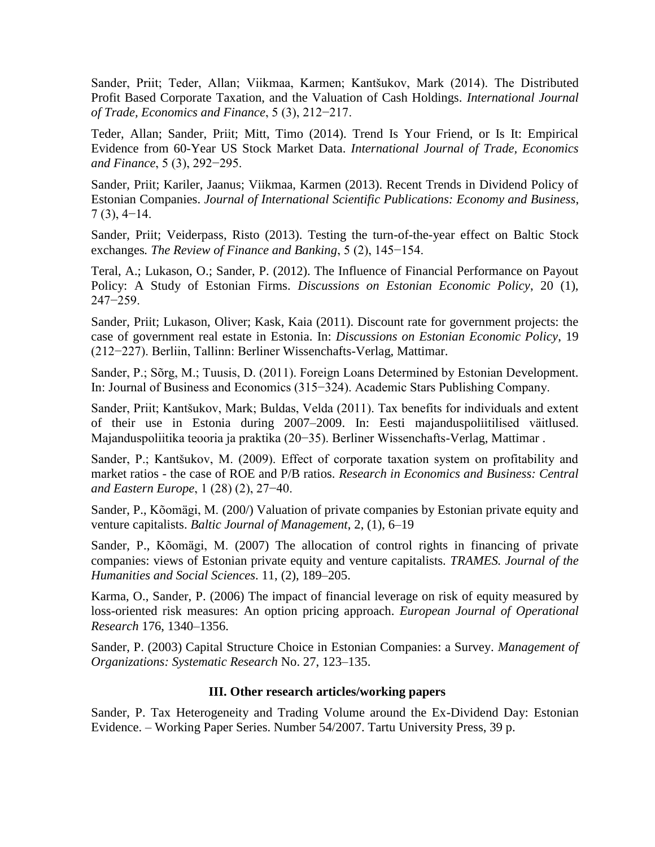Sander, Priit; Teder, Allan; Viikmaa, Karmen; Kantšukov, Mark (2014). The Distributed Profit Based Corporate Taxation, and the Valuation of Cash Holdings. *International Journal of Trade, Economics and Finance*, 5 (3), 212−217.

Teder, Allan; Sander, Priit; Mitt, Timo (2014). Trend Is Your Friend, or Is It: Empirical Evidence from 60-Year US Stock Market Data. *International Journal of Trade, Economics and Finance*, 5 (3), 292−295.

Sander, Priit; Kariler, Jaanus; Viikmaa, Karmen (2013). Recent Trends in Dividend Policy of Estonian Companies. *Journal of International Scientific Publications: Economy and Business*, 7 (3), 4−14.

Sander, Priit; Veiderpass, Risto (2013). Testing the turn-of-the-year effect on Baltic Stock exchanges*. The Review of Finance and Banking*, 5 (2), 145−154.

Teral, A.; Lukason, O.; Sander, P. (2012). The Influence of Financial Performance on Payout Policy: A Study of Estonian Firms. *Discussions on Estonian Economic Policy*, 20 (1), 247−259.

Sander, Priit; Lukason, Oliver; Kask, Kaia (2011). Discount rate for government projects: the case of government real estate in Estonia. In: *Discussions on Estonian Economic Policy*, 19 (212−227). Berliin, Tallinn: Berliner Wissenchafts-Verlag, Mattimar.

Sander, P.; Sõrg, M.; Tuusis, D. (2011). Foreign Loans Determined by Estonian Development. In: Journal of Business and Economics (315−324). Academic Stars Publishing Company.

Sander, Priit; Kantšukov, Mark; Buldas, Velda (2011). Tax benefits for individuals and extent of their use in Estonia during 2007–2009. In: Eesti majanduspoliitilised väitlused. Majanduspoliitika teooria ja praktika (20−35). Berliner Wissenchafts-Verlag, Mattimar .

Sander, P.; Kantšukov, M. (2009). Effect of corporate taxation system on profitability and market ratios - the case of ROE and P/B ratios. *Research in Economics and Business: Central and Eastern Europe*, 1 (28) (2), 27−40.

Sander, P., Kõomägi, M. (200/) Valuation of private companies by Estonian private equity and venture capitalists. *Baltic Journal of Management*, 2, (1), 6–19

Sander, P., Kõomägi, M. (2007) The allocation of control rights in financing of private companies: views of Estonian private equity and venture capitalists*. TRAMES. Journal of the Humanities and Social Sciences*. 11, (2), 189–205.

Karma, O., Sander, P. (2006) The impact of financial leverage on risk of equity measured by loss-oriented risk measures: An option pricing approach. *European Journal of Operational Research* 176, 1340–1356.

Sander, P. (2003) Capital Structure Choice in Estonian Companies: a Survey. *Management of Organizations: Systematic Research* No. 27, 123–135.

## **III. Other research articles/working papers**

Sander, P. Tax Heterogeneity and Trading Volume around the Ex-Dividend Day: Estonian Evidence. – Working Paper Series. Number 54/2007. Tartu University Press, 39 p.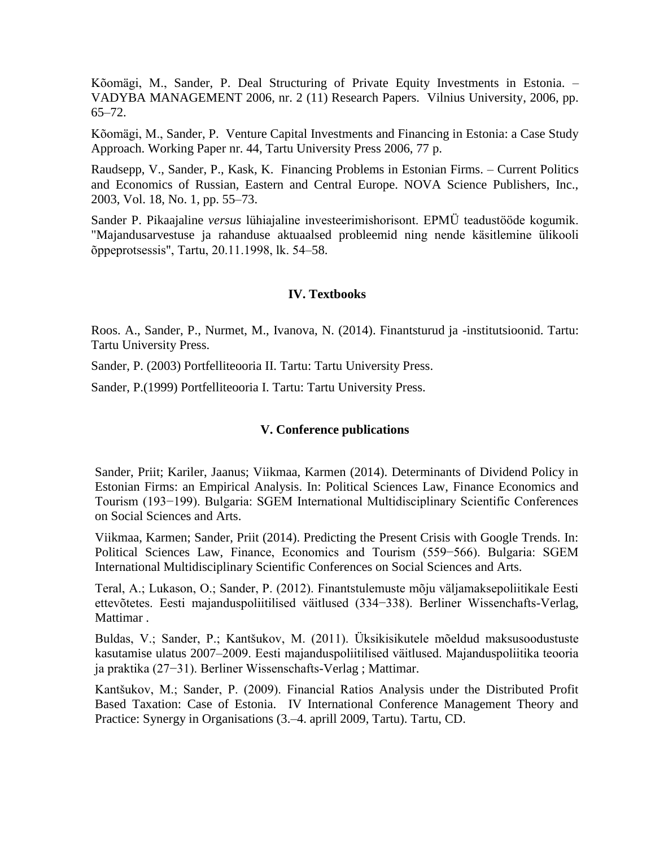Kõomägi, M., Sander, P. Deal Structuring of Private Equity Investments in Estonia. – VADYBA MANAGEMENT 2006, nr. 2 (11) Research Papers. Vilnius University, 2006, pp. 65–72.

Kõomägi, M., Sander, P. Venture Capital Investments and Financing in Estonia: a Case Study Approach. Working Paper nr. 44, Tartu University Press 2006, 77 p.

Raudsepp, V., Sander, P., Kask, K. Financing Problems in Estonian Firms. – Current Politics and Economics of Russian, Eastern and Central Europe. NOVA Science Publishers, Inc., 2003, Vol. 18, No. 1, pp. 55–73.

Sander P. Pikaajaline *versus* lühiajaline investeerimishorisont. EPMÜ teadustööde kogumik. "Majandusarvestuse ja rahanduse aktuaalsed probleemid ning nende käsitlemine ülikooli õppeprotsessis", Tartu, 20.11.1998, lk. 54–58.

#### **IV. Textbooks**

Roos. A., Sander, P., Nurmet, M., Ivanova, N. (2014). Finantsturud ja -institutsioonid. Tartu: Tartu University Press.

Sander, P. (2003) Portfelliteooria II. Tartu: Tartu University Press.

Sander, P.(1999) Portfelliteooria I. Tartu: Tartu University Press.

#### **V. Conference publications**

Sander, Priit; Kariler, Jaanus; Viikmaa, Karmen (2014). Determinants of Dividend Policy in Estonian Firms: an Empirical Analysis. In: Political Sciences Law, Finance Economics and Tourism (193−199). Bulgaria: SGEM International Multidisciplinary Scientific Conferences on Social Sciences and Arts.

Viikmaa, Karmen; Sander, Priit (2014). Predicting the Present Crisis with Google Trends. In: Political Sciences Law, Finance, Economics and Tourism (559−566). Bulgaria: SGEM International Multidisciplinary Scientific Conferences on Social Sciences and Arts.

Teral, A.; Lukason, O.; Sander, P. (2012). Finantstulemuste mõju väljamaksepoliitikale Eesti ettevõtetes. Eesti majanduspoliitilised väitlused (334−338). Berliner Wissenchafts-Verlag, Mattimar .

Buldas, V.; Sander, P.; Kantšukov, M. (2011). Üksikisikutele mõeldud maksusoodustuste kasutamise ulatus 2007–2009. Eesti majanduspoliitilised väitlused. Majanduspoliitika teooria ja praktika (27−31). Berliner Wissenschafts-Verlag ; Mattimar.

Kantšukov, M.; Sander, P. (2009). Financial Ratios Analysis under the Distributed Profit Based Taxation: Case of Estonia. IV International Conference Management Theory and Practice: Synergy in Organisations (3.–4. aprill 2009, Tartu). Tartu, CD.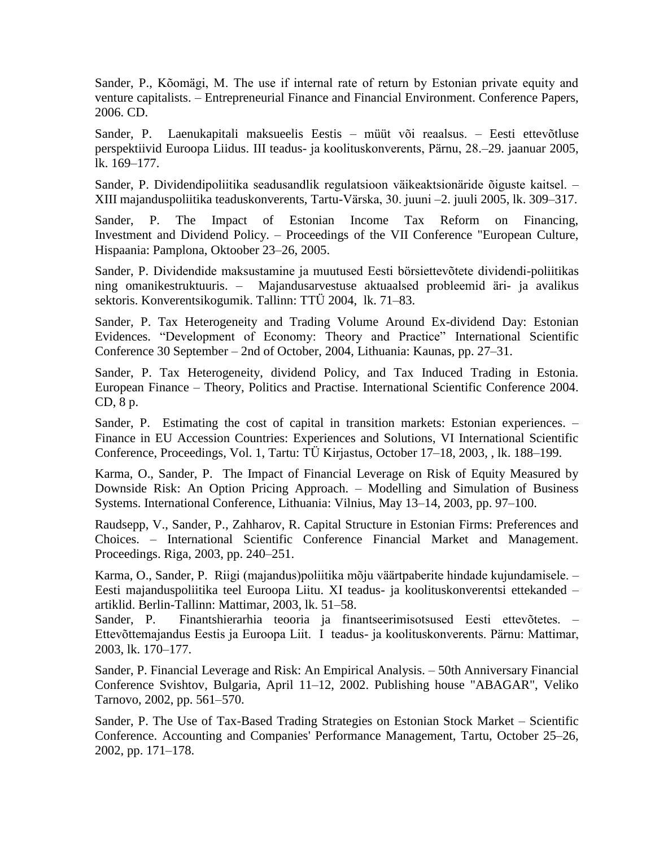Sander, P., Kõomägi, M. The use if internal rate of return by Estonian private equity and venture capitalists. – Entrepreneurial Finance and Financial Environment. Conference Papers, 2006. CD.

Sander, P. Laenukapitali maksueelis Eestis – müüt või reaalsus. – Eesti ettevõtluse perspektiivid Euroopa Liidus. III teadus- ja koolituskonverents, Pärnu, 28.–29. jaanuar 2005, lk. 169–177.

Sander, P. Dividendipoliitika seadusandlik regulatsioon väikeaktsionäride õiguste kaitsel. – XIII majanduspoliitika teaduskonverents, Tartu-Värska, 30. juuni –2. juuli 2005, lk. 309–317.

Sander, P. The Impact of Estonian Income Tax Reform on Financing, Investment and Dividend Policy. – Proceedings of the VII Conference "European Culture, Hispaania: Pamplona, Oktoober 23–26, 2005.

Sander, P. Dividendide maksustamine ja muutused Eesti börsiettevõtete dividendi-poliitikas ning omanikestruktuuris. – Majandusarvestuse aktuaalsed probleemid äri- ja avalikus sektoris. Konverentsikogumik. Tallinn: TTÜ 2004, lk. 71–83.

Sander*,* P. Tax Heterogeneity and Trading Volume Around Ex-dividend Day: Estonian Evidences. "Development of Economy: Theory and Practice" International Scientific Conference 30 September – 2nd of October, 2004, Lithuania: Kaunas, pp. 27–31.

Sander, P. Tax Heterogeneity, dividend Policy, and Tax Induced Trading in Estonia. European Finance – Theory, Politics and Practise. International Scientific Conference 2004. CD, 8 p.

Sander, P. Estimating the cost of capital in transition markets: Estonian experiences. – Finance in EU Accession Countries: Experiences and Solutions, VI International Scientific Conference, Proceedings, Vol. 1, Tartu: TÜ Kirjastus, October 17–18, 2003, , lk. 188–199.

Karma, O., Sander, P. The Impact of Financial Leverage on Risk of Equity Measured by Downside Risk: An Option Pricing Approach. – Modelling and Simulation of Business Systems. International Conference, Lithuania: Vilnius, May 13–14, 2003, pp. 97–100.

Raudsepp, V., Sander, P., Zahharov, R. Capital Structure in Estonian Firms: Preferences and Choices. – International Scientific Conference Financial Market and Management. Proceedings. Riga, 2003, pp. 240–251.

Karma, O., Sander, P. Riigi (majandus)poliitika mõju väärtpaberite hindade kujundamisele. – Eesti majanduspoliitika teel Euroopa Liitu. XI teadus- ja koolituskonverentsi ettekanded – artiklid. Berlin-Tallinn: Mattimar, 2003, lk. 51–58.

Sander, P. Finantshierarhia teooria ja finantseerimisotsused Eesti ettevõtetes. – Ettevõttemajandus Eestis ja Euroopa Liit. I teadus- ja koolituskonverents. Pärnu: Mattimar, 2003, lk. 170–177.

Sander, P. Financial Leverage and Risk: An Empirical Analysis. – 50th Anniversary Financial Conference Svishtov, Bulgaria, April 11–12, 2002. Publishing house "ABAGAR", Veliko Tarnovo, 2002, pp. 561–570.

Sander, P. The Use of Tax-Based Trading Strategies on Estonian Stock Market – Scientific Conference. Accounting and Companies' Performance Management, Tartu, October 25–26, 2002, pp. 171–178.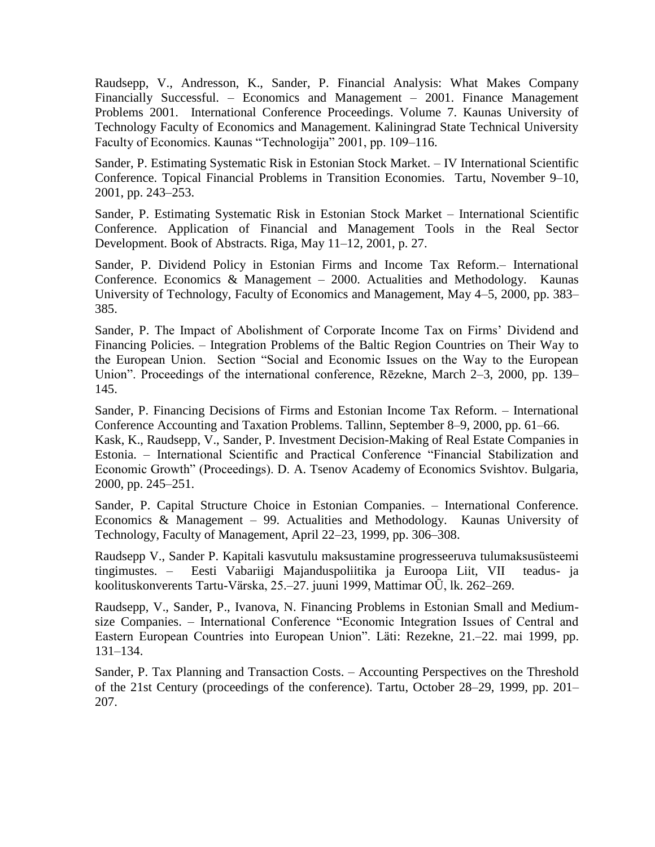Raudsepp, V., Andresson, K., Sander, P. Financial Analysis: What Makes Company Financially Successful. – Economics and Management – 2001. Finance Management Problems 2001. International Conference Proceedings. Volume 7. Kaunas University of Technology Faculty of Economics and Management. Kaliningrad State Technical University Faculty of Economics. Kaunas "Technologija" 2001, pp. 109–116.

Sander, P. Estimating Systematic Risk in Estonian Stock Market. – IV International Scientific Conference. Topical Financial Problems in Transition Economies. Tartu, November 9–10, 2001, pp. 243–253.

Sander, P. Estimating Systematic Risk in Estonian Stock Market – International Scientific Conference. Application of Financial and Management Tools in the Real Sector Development. Book of Abstracts. Riga, May 11–12, 2001, p. 27.

Sander, P. Dividend Policy in Estonian Firms and Income Tax Reform.– International Conference. Economics & Management – 2000. Actualities and Methodology. Kaunas University of Technology, Faculty of Economics and Management, May 4–5, 2000, pp. 383– 385.

Sander, P. The Impact of Abolishment of Corporate Income Tax on Firms' Dividend and Financing Policies. – Integration Problems of the Baltic Region Countries on Their Way to the European Union. Section "Social and Economic Issues on the Way to the European Union". Proceedings of the international conference, Rēzekne, March 2–3, 2000, pp. 139– 145.

Sander, P. Financing Decisions of Firms and Estonian Income Tax Reform. – International Conference Accounting and Taxation Problems. Tallinn, September 8–9, 2000, pp. 61–66.

Kask, K., Raudsepp, V., Sander, P. Investment Decision-Making of Real Estate Companies in Estonia. – International Scientific and Practical Conference "Financial Stabilization and Economic Growth" (Proceedings). D. A. Tsenov Academy of Economics Svishtov. Bulgaria, 2000, pp. 245–251.

Sander, P. Capital Structure Choice in Estonian Companies. – International Conference. Economics & Management – 99. Actualities and Methodology. Kaunas University of Technology, Faculty of Management, April 22–23, 1999, pp. 306–308.

Raudsepp V., Sander P. Kapitali kasvutulu maksustamine progresseeruva tulumaksusüsteemi tingimustes. – Eesti Vabariigi Majanduspoliitika ja Euroopa Liit, VII teadus- ja koolituskonverents Tartu-Värska, 25.–27. juuni 1999, Mattimar OÜ, lk. 262–269.

Raudsepp, V., Sander, P., Ivanova, N. Financing Problems in Estonian Small and Mediumsize Companies. – International Conference "Economic Integration Issues of Central and Eastern European Countries into European Union". Läti: Rezekne, 21.–22. mai 1999, pp. 131–134.

Sander, P. Tax Planning and Transaction Costs. – Accounting Perspectives on the Threshold of the 21st Century (proceedings of the conference). Tartu, October 28–29, 1999, pp. 201– 207.